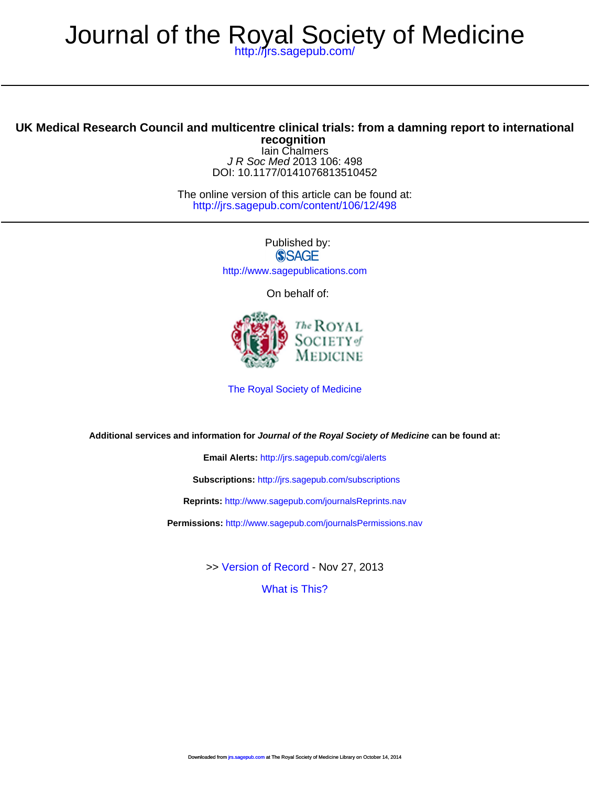# <http://jrs.sagepub.com/> Journal of the Royal Society of Medicine

**recognition UK Medical Research Council and multicentre clinical trials: from a damning report to international**

DOI: 10.1177/0141076813510452 J R Soc Med 2013 106: 498 Iain Chalmers

<http://jrs.sagepub.com/content/106/12/498> The online version of this article can be found at:

> Published by:<br>
> SAGE <http://www.sagepublications.com>

> > On behalf of:



[The Royal Society of Medicine](http://www.rsm.ac.uk/)

**Additional services and information for Journal of the Royal Society of Medicine can be found at:**

**Email Alerts:** <http://jrs.sagepub.com/cgi/alerts>

**Subscriptions:** <http://jrs.sagepub.com/subscriptions>

**Reprints:** <http://www.sagepub.com/journalsReprints.nav>

**Permissions:** <http://www.sagepub.com/journalsPermissions.nav>

>> [Version of Record -](http://jrs.sagepub.com/content/106/12/498.full.pdf) Nov 27, 2013

[What is This?](http://online.sagepub.com/site/sphelp/vorhelp.xhtml)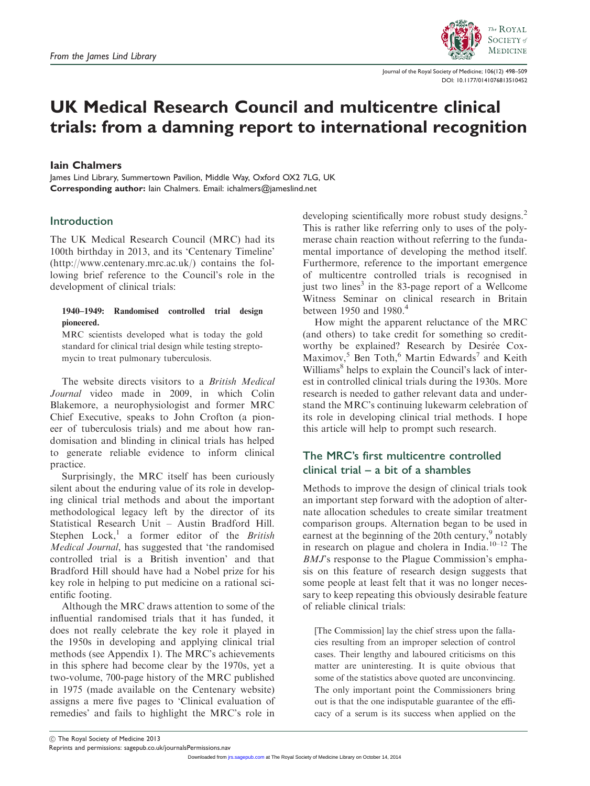

Journal of the Royal Society of Medicine; 106(12) 498–509 DOI: 10.1177/0141076813510452

# UK Medical Research Council and multicentre clinical trials: from a damning report to international recognition

## Iain Chalmers

James Lind Library, Summertown Pavilion, Middle Way, Oxford OX2 7LG, UK Corresponding author: Iain Chalmers. Email: ichalmers@jameslind.net

# Introduction

The UK Medical Research Council (MRC) had its 100th birthday in 2013, and its 'Centenary Timeline' (http://www.centenary.mrc.ac.uk/) contains the following brief reference to the Council's role in the development of clinical trials:

## 1940–1949: Randomised controlled trial design pioneered.

MRC scientists developed what is today the gold standard for clinical trial design while testing streptomycin to treat pulmonary tuberculosis.

The website directs visitors to a *British Medical* Journal video made in 2009, in which Colin Blakemore, a neurophysiologist and former MRC Chief Executive, speaks to John Crofton (a pioneer of tuberculosis trials) and me about how randomisation and blinding in clinical trials has helped to generate reliable evidence to inform clinical practice.

Surprisingly, the MRC itself has been curiously silent about the enduring value of its role in developing clinical trial methods and about the important methodological legacy left by the director of its Statistical Research Unit – Austin Bradford Hill. Stephen Lock,<sup>1</sup> a former editor of the British Medical Journal, has suggested that 'the randomised controlled trial is a British invention' and that Bradford Hill should have had a Nobel prize for his key role in helping to put medicine on a rational scientific footing.

Although the MRC draws attention to some of the influential randomised trials that it has funded, it does not really celebrate the key role it played in the 1950s in developing and applying clinical trial methods (see Appendix 1). The MRC's achievements in this sphere had become clear by the 1970s, yet a two-volume, 700-page history of the MRC published in 1975 (made available on the Centenary website) assigns a mere five pages to 'Clinical evaluation of remedies' and fails to highlight the MRC's role in developing scientifically more robust study designs.<sup>2</sup> This is rather like referring only to uses of the polymerase chain reaction without referring to the fundamental importance of developing the method itself. Furthermore, reference to the important emergence of multicentre controlled trials is recognised in just two lines<sup>3</sup> in the 83-page report of a Wellcome Witness Seminar on clinical research in Britain between 1950 and 1980.<sup>4</sup>

How might the apparent reluctance of the MRC (and others) to take credit for something so creditworthy be explained? Research by Desirée Cox-Maximov, $5$  Ben Toth, $6$  Martin Edwards<sup>7</sup> and Keith Williams<sup>8</sup> helps to explain the Council's lack of interest in controlled clinical trials during the 1930s. More research is needed to gather relevant data and understand the MRC's continuing lukewarm celebration of its role in developing clinical trial methods. I hope this article will help to prompt such research.

# The MRC's first multicentre controlled clinical trial – a bit of a shambles

Methods to improve the design of clinical trials took an important step forward with the adoption of alternate allocation schedules to create similar treatment comparison groups. Alternation began to be used in earnest at the beginning of the 20th century, $9$  notably in research on plague and cholera in India.10–12 The BMJ's response to the Plague Commission's emphasis on this feature of research design suggests that some people at least felt that it was no longer necessary to keep repeating this obviously desirable feature of reliable clinical trials:

[The Commission] lay the chief stress upon the fallacies resulting from an improper selection of control cases. Their lengthy and laboured criticisms on this matter are uninteresting. It is quite obvious that some of the statistics above quoted are unconvincing. The only important point the Commissioners bring out is that the one indisputable guarantee of the efficacy of a serum is its success when applied on the

Reprints and permissions: sagepub.co.uk/journalsPermissions.nav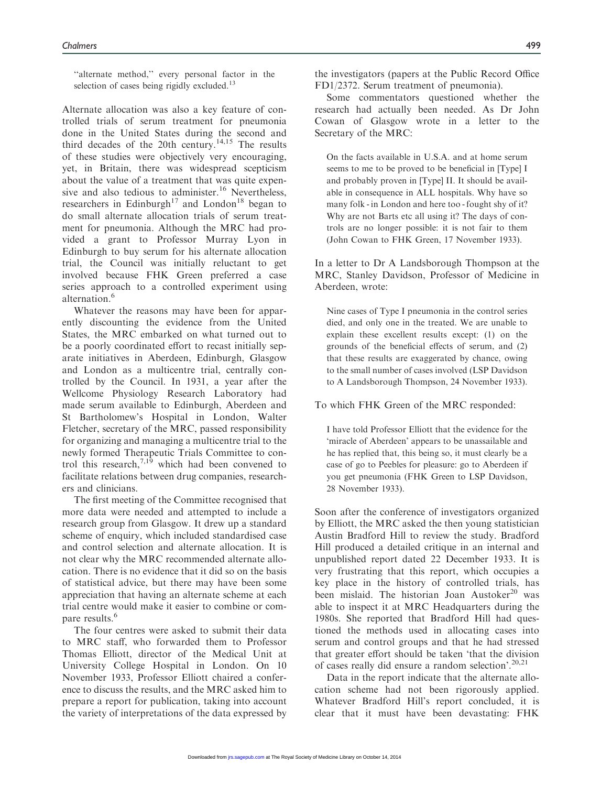''alternate method,'' every personal factor in the selection of cases being rigidly excluded.<sup>13</sup>

Alternate allocation was also a key feature of controlled trials of serum treatment for pneumonia done in the United States during the second and third decades of the 20th century.<sup>14,15</sup> The results of these studies were objectively very encouraging, yet, in Britain, there was widespread scepticism about the value of a treatment that was quite expensive and also tedious to administer.<sup>16</sup> Nevertheless, researchers in Edinburgh<sup>17</sup> and London<sup>18</sup> began to do small alternate allocation trials of serum treatment for pneumonia. Although the MRC had provided a grant to Professor Murray Lyon in Edinburgh to buy serum for his alternate allocation trial, the Council was initially reluctant to get involved because FHK Green preferred a case series approach to a controlled experiment using alternation.<sup>6</sup>

Whatever the reasons may have been for apparently discounting the evidence from the United States, the MRC embarked on what turned out to be a poorly coordinated effort to recast initially separate initiatives in Aberdeen, Edinburgh, Glasgow and London as a multicentre trial, centrally controlled by the Council. In 1931, a year after the Wellcome Physiology Research Laboratory had made serum available to Edinburgh, Aberdeen and St Bartholomew's Hospital in London, Walter Fletcher, secretary of the MRC, passed responsibility for organizing and managing a multicentre trial to the newly formed Therapeutic Trials Committee to control this research,  $^{7,19}$  which had been convened to facilitate relations between drug companies, researchers and clinicians.

The first meeting of the Committee recognised that more data were needed and attempted to include a research group from Glasgow. It drew up a standard scheme of enquiry, which included standardised case and control selection and alternate allocation. It is not clear why the MRC recommended alternate allocation. There is no evidence that it did so on the basis of statistical advice, but there may have been some appreciation that having an alternate scheme at each trial centre would make it easier to combine or compare results.<sup>6</sup>

The four centres were asked to submit their data to MRC staff, who forwarded them to Professor Thomas Elliott, director of the Medical Unit at University College Hospital in London. On 10 November 1933, Professor Elliott chaired a conference to discuss the results, and the MRC asked him to prepare a report for publication, taking into account the variety of interpretations of the data expressed by the investigators (papers at the Public Record Office FD1/2372. Serum treatment of pneumonia).

Some commentators questioned whether the research had actually been needed. As Dr John Cowan of Glasgow wrote in a letter to the Secretary of the MRC:

On the facts available in U.S.A. and at home serum seems to me to be proved to be beneficial in [Type] I and probably proven in [Type] II. It should be available in consequence in ALL hospitals. Why have so many folk - in London and here too - fought shy of it? Why are not Barts etc all using it? The days of controls are no longer possible: it is not fair to them (John Cowan to FHK Green, 17 November 1933).

In a letter to Dr A Landsborough Thompson at the MRC, Stanley Davidson, Professor of Medicine in Aberdeen, wrote:

Nine cases of Type I pneumonia in the control series died, and only one in the treated. We are unable to explain these excellent results except: (1) on the grounds of the beneficial effects of serum, and (2) that these results are exaggerated by chance, owing to the small number of cases involved (LSP Davidson to A Landsborough Thompson, 24 November 1933).

To which FHK Green of the MRC responded:

I have told Professor Elliott that the evidence for the 'miracle of Aberdeen' appears to be unassailable and he has replied that, this being so, it must clearly be a case of go to Peebles for pleasure: go to Aberdeen if you get pneumonia (FHK Green to LSP Davidson, 28 November 1933).

Soon after the conference of investigators organized by Elliott, the MRC asked the then young statistician Austin Bradford Hill to review the study. Bradford Hill produced a detailed critique in an internal and unpublished report dated 22 December 1933. It is very frustrating that this report, which occupies a key place in the history of controlled trials, has been mislaid. The historian Joan Austoker<sup>20</sup> was able to inspect it at MRC Headquarters during the 1980s. She reported that Bradford Hill had questioned the methods used in allocating cases into serum and control groups and that he had stressed that greater effort should be taken 'that the division of cases really did ensure a random selection'.20,21

Data in the report indicate that the alternate allocation scheme had not been rigorously applied. Whatever Bradford Hill's report concluded, it is clear that it must have been devastating: FHK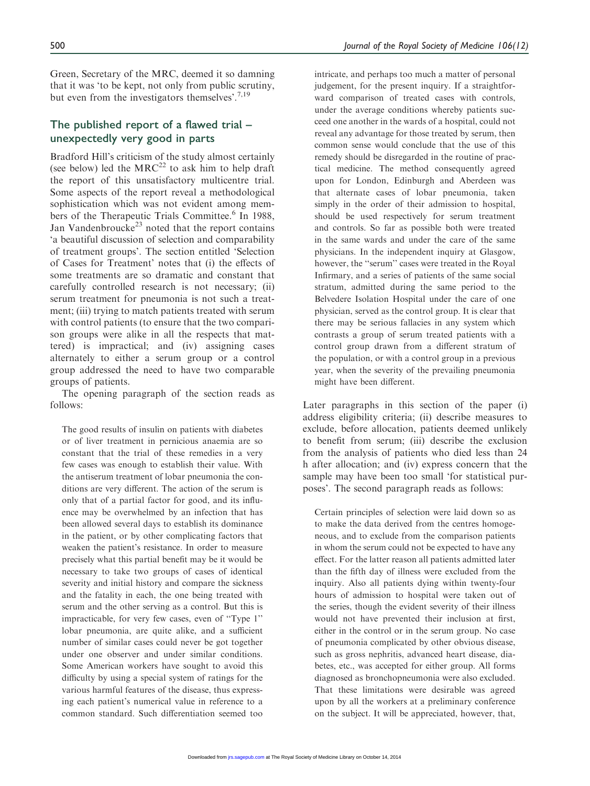Green, Secretary of the MRC, deemed it so damning that it was 'to be kept, not only from public scrutiny, but even from the investigators themselves'.<sup>7,19</sup>

# The published report of a flawed trial – unexpectedly very good in parts

Bradford Hill's criticism of the study almost certainly (see below) led the  $MRC^{22}$  to ask him to help draft the report of this unsatisfactory multicentre trial. Some aspects of the report reveal a methodological sophistication which was not evident among members of the Therapeutic Trials Committee.<sup>6</sup> In 1988, Jan Vandenbroucke<sup>23</sup> noted that the report contains 'a beautiful discussion of selection and comparability of treatment groups'. The section entitled 'Selection of Cases for Treatment' notes that (i) the effects of some treatments are so dramatic and constant that carefully controlled research is not necessary; (ii) serum treatment for pneumonia is not such a treatment; (iii) trying to match patients treated with serum with control patients (to ensure that the two comparison groups were alike in all the respects that mattered) is impractical; and (iv) assigning cases alternately to either a serum group or a control group addressed the need to have two comparable groups of patients.

The opening paragraph of the section reads as follows:

The good results of insulin on patients with diabetes or of liver treatment in pernicious anaemia are so constant that the trial of these remedies in a very few cases was enough to establish their value. With the antiserum treatment of lobar pneumonia the conditions are very different. The action of the serum is only that of a partial factor for good, and its influence may be overwhelmed by an infection that has been allowed several days to establish its dominance in the patient, or by other complicating factors that weaken the patient's resistance. In order to measure precisely what this partial benefit may be it would be necessary to take two groups of cases of identical severity and initial history and compare the sickness and the fatality in each, the one being treated with serum and the other serving as a control. But this is impracticable, for very few cases, even of ''Type 1'' lobar pneumonia, are quite alike, and a sufficient number of similar cases could never be got together under one observer and under similar conditions. Some American workers have sought to avoid this difficulty by using a special system of ratings for the various harmful features of the disease, thus expressing each patient's numerical value in reference to a common standard. Such differentiation seemed too

intricate, and perhaps too much a matter of personal judgement, for the present inquiry. If a straightforward comparison of treated cases with controls, under the average conditions whereby patients succeed one another in the wards of a hospital, could not reveal any advantage for those treated by serum, then common sense would conclude that the use of this remedy should be disregarded in the routine of practical medicine. The method consequently agreed upon for London, Edinburgh and Aberdeen was that alternate cases of lobar pneumonia, taken simply in the order of their admission to hospital, should be used respectively for serum treatment and controls. So far as possible both were treated in the same wards and under the care of the same physicians. In the independent inquiry at Glasgow, however, the ''serum'' cases were treated in the Royal Infirmary, and a series of patients of the same social stratum, admitted during the same period to the Belvedere Isolation Hospital under the care of one physician, served as the control group. It is clear that there may be serious fallacies in any system which contrasts a group of serum treated patients with a control group drawn from a different stratum of the population, or with a control group in a previous year, when the severity of the prevailing pneumonia might have been different.

Later paragraphs in this section of the paper (i) address eligibility criteria; (ii) describe measures to exclude, before allocation, patients deemed unlikely to benefit from serum; (iii) describe the exclusion from the analysis of patients who died less than 24 h after allocation; and (iv) express concern that the sample may have been too small 'for statistical purposes'. The second paragraph reads as follows:

Certain principles of selection were laid down so as to make the data derived from the centres homogeneous, and to exclude from the comparison patients in whom the serum could not be expected to have any effect. For the latter reason all patients admitted later than the fifth day of illness were excluded from the inquiry. Also all patients dying within twenty-four hours of admission to hospital were taken out of the series, though the evident severity of their illness would not have prevented their inclusion at first, either in the control or in the serum group. No case of pneumonia complicated by other obvious disease, such as gross nephritis, advanced heart disease, diabetes, etc., was accepted for either group. All forms diagnosed as bronchopneumonia were also excluded. That these limitations were desirable was agreed upon by all the workers at a preliminary conference on the subject. It will be appreciated, however, that,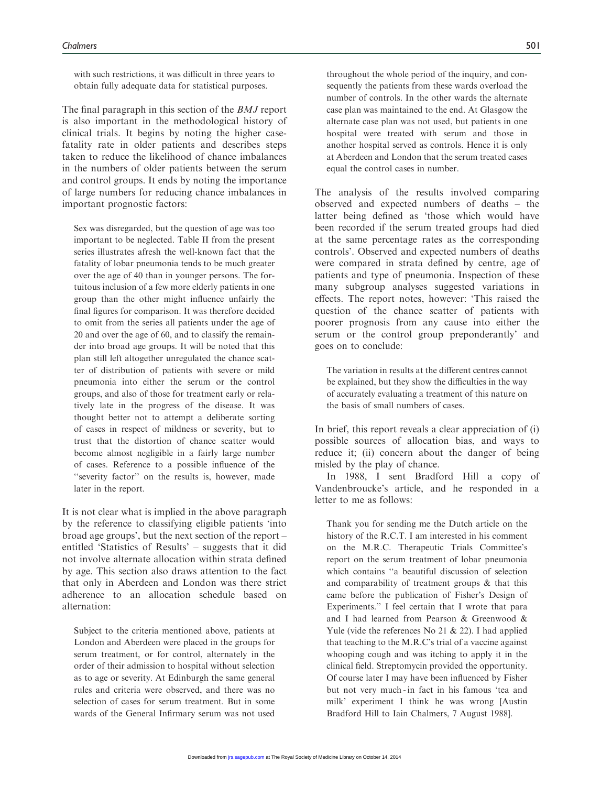with such restrictions, it was difficult in three years to obtain fully adequate data for statistical purposes.

The final paragraph in this section of the BMJ report is also important in the methodological history of clinical trials. It begins by noting the higher casefatality rate in older patients and describes steps taken to reduce the likelihood of chance imbalances in the numbers of older patients between the serum and control groups. It ends by noting the importance of large numbers for reducing chance imbalances in important prognostic factors:

Sex was disregarded, but the question of age was too important to be neglected. Table II from the present series illustrates afresh the well-known fact that the fatality of lobar pneumonia tends to be much greater over the age of 40 than in younger persons. The fortuitous inclusion of a few more elderly patients in one group than the other might influence unfairly the final figures for comparison. It was therefore decided to omit from the series all patients under the age of 20 and over the age of 60, and to classify the remainder into broad age groups. It will be noted that this plan still left altogether unregulated the chance scatter of distribution of patients with severe or mild pneumonia into either the serum or the control groups, and also of those for treatment early or relatively late in the progress of the disease. It was thought better not to attempt a deliberate sorting of cases in respect of mildness or severity, but to trust that the distortion of chance scatter would become almost negligible in a fairly large number of cases. Reference to a possible influence of the ''severity factor'' on the results is, however, made later in the report.

It is not clear what is implied in the above paragraph by the reference to classifying eligible patients 'into broad age groups', but the next section of the report – entitled 'Statistics of Results' – suggests that it did not involve alternate allocation within strata defined by age. This section also draws attention to the fact that only in Aberdeen and London was there strict adherence to an allocation schedule based on alternation:

Subject to the criteria mentioned above, patients at London and Aberdeen were placed in the groups for serum treatment, or for control, alternately in the order of their admission to hospital without selection as to age or severity. At Edinburgh the same general rules and criteria were observed, and there was no selection of cases for serum treatment. But in some wards of the General Infirmary serum was not used throughout the whole period of the inquiry, and consequently the patients from these wards overload the number of controls. In the other wards the alternate case plan was maintained to the end. At Glasgow the alternate case plan was not used, but patients in one hospital were treated with serum and those in another hospital served as controls. Hence it is only at Aberdeen and London that the serum treated cases equal the control cases in number.

The analysis of the results involved comparing observed and expected numbers of deaths – the latter being defined as 'those which would have been recorded if the serum treated groups had died at the same percentage rates as the corresponding controls'. Observed and expected numbers of deaths were compared in strata defined by centre, age of patients and type of pneumonia. Inspection of these many subgroup analyses suggested variations in effects. The report notes, however: 'This raised the question of the chance scatter of patients with poorer prognosis from any cause into either the serum or the control group preponderantly' and goes on to conclude:

The variation in results at the different centres cannot be explained, but they show the difficulties in the way of accurately evaluating a treatment of this nature on the basis of small numbers of cases.

In brief, this report reveals a clear appreciation of (i) possible sources of allocation bias, and ways to reduce it; (ii) concern about the danger of being misled by the play of chance.

In 1988, I sent Bradford Hill a copy of Vandenbroucke's article, and he responded in a letter to me as follows:

Thank you for sending me the Dutch article on the history of the R.C.T. I am interested in his comment on the M.R.C. Therapeutic Trials Committee's report on the serum treatment of lobar pneumonia which contains ''a beautiful discussion of selection and comparability of treatment groups & that this came before the publication of Fisher's Design of Experiments.'' I feel certain that I wrote that para and I had learned from Pearson & Greenwood & Yule (vide the references No 21 & 22). I had applied that teaching to the M.R.C's trial of a vaccine against whooping cough and was itching to apply it in the clinical field. Streptomycin provided the opportunity. Of course later I may have been influenced by Fisher but not very much - in fact in his famous 'tea and milk' experiment I think he was wrong [Austin Bradford Hill to Iain Chalmers, 7 August 1988].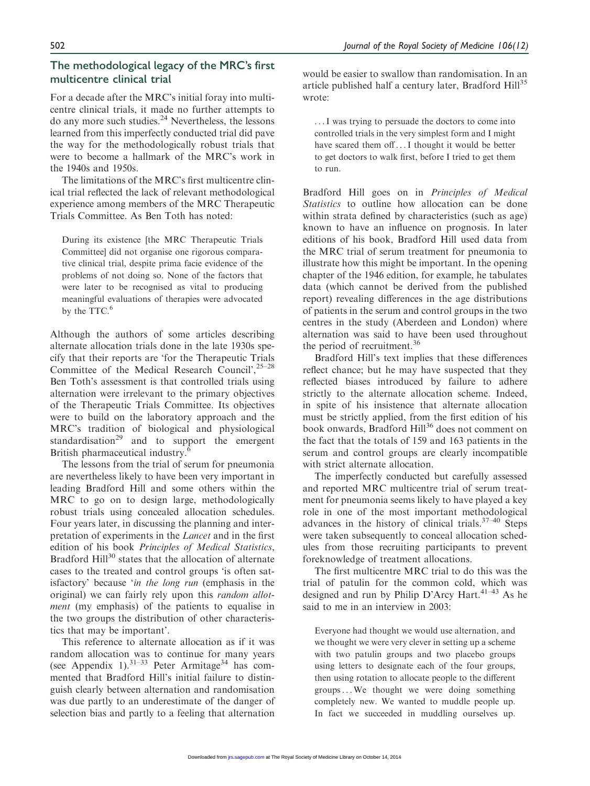# The methodological legacy of the MRC's first multicentre clinical trial

For a decade after the MRC's initial foray into multicentre clinical trials, it made no further attempts to do any more such studies.<sup>24</sup> Nevertheless, the lessons learned from this imperfectly conducted trial did pave the way for the methodologically robust trials that were to become a hallmark of the MRC's work in the 1940s and 1950s.

The limitations of the MRC's first multicentre clinical trial reflected the lack of relevant methodological experience among members of the MRC Therapeutic Trials Committee. As Ben Toth has noted:

During its existence [the MRC Therapeutic Trials Committee] did not organise one rigorous comparative clinical trial, despite prima facie evidence of the problems of not doing so. None of the factors that were later to be recognised as vital to producing meaningful evaluations of therapies were advocated by the TTC.<sup>6</sup>

Although the authors of some articles describing alternate allocation trials done in the late 1930s specify that their reports are 'for the Therapeutic Trials Committee of the Medical Research Council',  $25-28$ Ben Toth's assessment is that controlled trials using alternation were irrelevant to the primary objectives of the Therapeutic Trials Committee. Its objectives were to build on the laboratory approach and the MRC's tradition of biological and physiological standardisation<sup>29</sup> and to support the emergent British pharmaceutical industry.<sup>6</sup>

The lessons from the trial of serum for pneumonia are nevertheless likely to have been very important in leading Bradford Hill and some others within the MRC to go on to design large, methodologically robust trials using concealed allocation schedules. Four years later, in discussing the planning and interpretation of experiments in the Lancet and in the first edition of his book Principles of Medical Statistics, Bradford Hill<sup>30</sup> states that the allocation of alternate cases to the treated and control groups 'is often satisfactory' because 'in the long run (emphasis in the original) we can fairly rely upon this *random allot*ment (my emphasis) of the patients to equalise in the two groups the distribution of other characteristics that may be important'.

This reference to alternate allocation as if it was random allocation was to continue for many years (see Appendix 1). $31-33$  Peter Armitage<sup>34</sup> has commented that Bradford Hill's initial failure to distinguish clearly between alternation and randomisation was due partly to an underestimate of the danger of selection bias and partly to a feeling that alternation would be easier to swallow than randomisation. In an article published half a century later, Bradford Hill<sup>35</sup> wrote:

...I was trying to persuade the doctors to come into controlled trials in the very simplest form and I might have scared them off ...I thought it would be better to get doctors to walk first, before I tried to get them to run.

Bradford Hill goes on in Principles of Medical Statistics to outline how allocation can be done within strata defined by characteristics (such as age) known to have an influence on prognosis. In later editions of his book, Bradford Hill used data from the MRC trial of serum treatment for pneumonia to illustrate how this might be important. In the opening chapter of the 1946 edition, for example, he tabulates data (which cannot be derived from the published report) revealing differences in the age distributions of patients in the serum and control groups in the two centres in the study (Aberdeen and London) where alternation was said to have been used throughout the period of recruitment.<sup>36</sup>

Bradford Hill's text implies that these differences reflect chance; but he may have suspected that they reflected biases introduced by failure to adhere strictly to the alternate allocation scheme. Indeed, in spite of his insistence that alternate allocation must be strictly applied, from the first edition of his book onwards, Bradford Hill<sup>36</sup> does not comment on the fact that the totals of 159 and 163 patients in the serum and control groups are clearly incompatible with strict alternate allocation.

The imperfectly conducted but carefully assessed and reported MRC multicentre trial of serum treatment for pneumonia seems likely to have played a key role in one of the most important methodological advances in the history of clinical trials.37–40 Steps were taken subsequently to conceal allocation schedules from those recruiting participants to prevent foreknowledge of treatment allocations.

The first multicentre MRC trial to do this was the trial of patulin for the common cold, which was designed and run by Philip D'Arcy Hart.<sup>41-43</sup> As he said to me in an interview in 2003:

Everyone had thought we would use alternation, and we thought we were very clever in setting up a scheme with two patulin groups and two placebo groups using letters to designate each of the four groups, then using rotation to allocate people to the different groups... We thought we were doing something completely new. We wanted to muddle people up. In fact we succeeded in muddling ourselves up.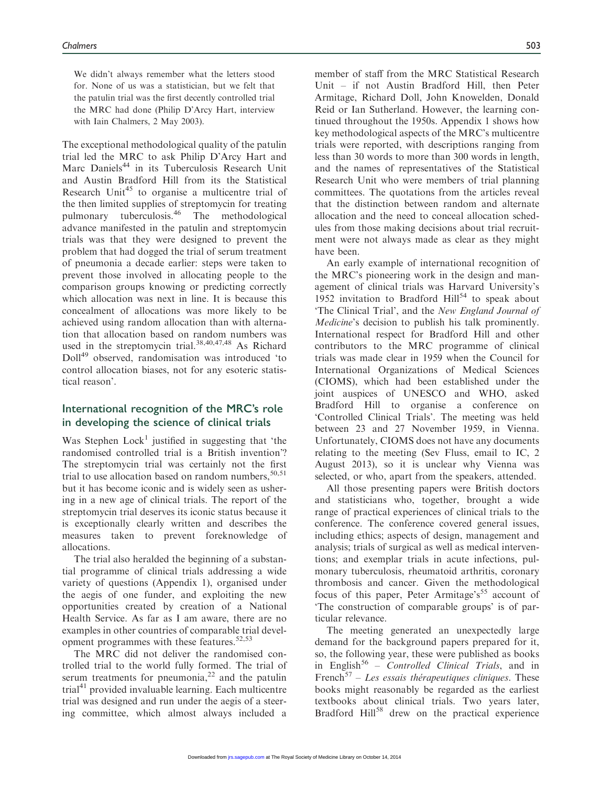We didn't always remember what the letters stood for. None of us was a statistician, but we felt that the patulin trial was the first decently controlled trial the MRC had done (Philip D'Arcy Hart, interview with Iain Chalmers, 2 May 2003).

The exceptional methodological quality of the patulin trial led the MRC to ask Philip D'Arcy Hart and Marc Daniels<sup>44</sup> in its Tuberculosis Research Unit and Austin Bradford Hill from its the Statistical Research Unit<sup>45</sup> to organise a multicentre trial of the then limited supplies of streptomycin for treating pulmonary tuberculosis.<sup>46</sup> The methodological advance manifested in the patulin and streptomycin trials was that they were designed to prevent the problem that had dogged the trial of serum treatment of pneumonia a decade earlier: steps were taken to prevent those involved in allocating people to the comparison groups knowing or predicting correctly which allocation was next in line. It is because this concealment of allocations was more likely to be achieved using random allocation than with alternation that allocation based on random numbers was used in the streptomycin trial. $38,40,47,48$  As Richard Doll<sup>49</sup> observed, randomisation was introduced 'to control allocation biases, not for any esoteric statistical reason'.

# International recognition of the MRC's role in developing the science of clinical trials

Was Stephen Lock<sup>1</sup> justified in suggesting that 'the randomised controlled trial is a British invention'? The streptomycin trial was certainly not the first trial to use allocation based on random numbers,  $50,51$ but it has become iconic and is widely seen as ushering in a new age of clinical trials. The report of the streptomycin trial deserves its iconic status because it is exceptionally clearly written and describes the measures taken to prevent foreknowledge of allocations.

The trial also heralded the beginning of a substantial programme of clinical trials addressing a wide variety of questions (Appendix 1), organised under the aegis of one funder, and exploiting the new opportunities created by creation of a National Health Service. As far as I am aware, there are no examples in other countries of comparable trial development programmes with these features.<sup>52,53</sup>

The MRC did not deliver the randomised controlled trial to the world fully formed. The trial of serum treatments for pneumonia, $^{22}$  and the patulin trial $^{41}$  provided invaluable learning. Each multicentre trial was designed and run under the aegis of a steering committee, which almost always included a

member of staff from the MRC Statistical Research Unit – if not Austin Bradford Hill, then Peter Armitage, Richard Doll, John Knowelden, Donald Reid or Ian Sutherland. However, the learning continued throughout the 1950s. Appendix 1 shows how key methodological aspects of the MRC's multicentre trials were reported, with descriptions ranging from less than 30 words to more than 300 words in length, and the names of representatives of the Statistical Research Unit who were members of trial planning committees. The quotations from the articles reveal that the distinction between random and alternate allocation and the need to conceal allocation schedules from those making decisions about trial recruitment were not always made as clear as they might have been.

An early example of international recognition of the MRC's pioneering work in the design and management of clinical trials was Harvard University's 1952 invitation to Bradford  $Hill<sup>54</sup>$  to speak about 'The Clinical Trial', and the New England Journal of Medicine's decision to publish his talk prominently. International respect for Bradford Hill and other contributors to the MRC programme of clinical trials was made clear in 1959 when the Council for International Organizations of Medical Sciences (CIOMS), which had been established under the joint auspices of UNESCO and WHO, asked Bradford Hill to organise a conference on 'Controlled Clinical Trials'. The meeting was held between 23 and 27 November 1959, in Vienna. Unfortunately, CIOMS does not have any documents relating to the meeting (Sev Fluss, email to IC, 2 August 2013), so it is unclear why Vienna was selected, or who, apart from the speakers, attended.

All those presenting papers were British doctors and statisticians who, together, brought a wide range of practical experiences of clinical trials to the conference. The conference covered general issues, including ethics; aspects of design, management and analysis; trials of surgical as well as medical interventions; and exemplar trials in acute infections, pulmonary tuberculosis, rheumatoid arthritis, coronary thrombosis and cancer. Given the methodological focus of this paper, Peter Armitage's<sup>55</sup> account of 'The construction of comparable groups' is of particular relevance.

The meeting generated an unexpectedly large demand for the background papers prepared for it, so, the following year, these were published as books in English<sup>56</sup> – *Controlled Clinical Trials*, and in French<sup>57</sup> – Les essais thérapeutiques cliniques. These books might reasonably be regarded as the earliest textbooks about clinical trials. Two years later, Bradford Hill<sup>58</sup> drew on the practical experience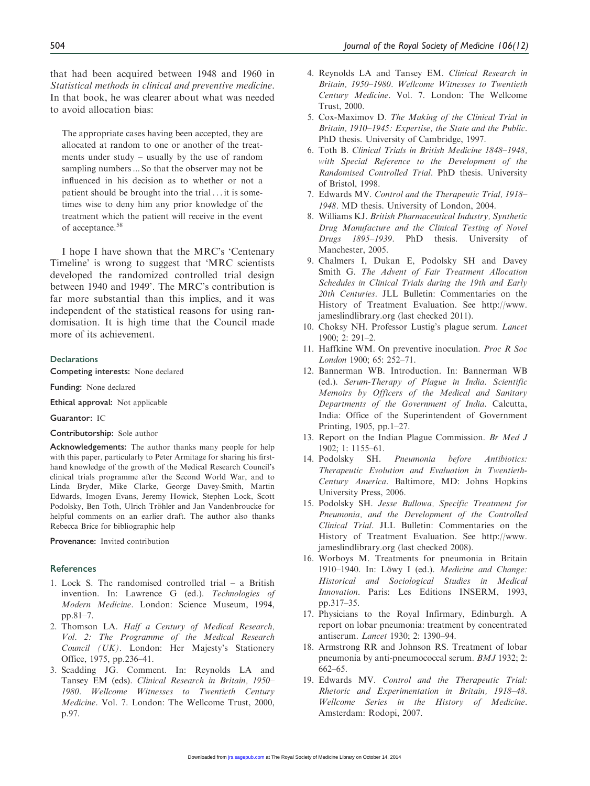that had been acquired between 1948 and 1960 in Statistical methods in clinical and preventive medicine. In that book, he was clearer about what was needed to avoid allocation bias:

The appropriate cases having been accepted, they are allocated at random to one or another of the treatments under study – usually by the use of random sampling numbers ... So that the observer may not be influenced in his decision as to whether or not a patient should be brought into the trial ... it is sometimes wise to deny him any prior knowledge of the treatment which the patient will receive in the event of acceptance.<sup>58</sup>

I hope I have shown that the MRC's 'Centenary Timeline' is wrong to suggest that 'MRC scientists developed the randomized controlled trial design between 1940 and 1949'. The MRC's contribution is far more substantial than this implies, and it was independent of the statistical reasons for using randomisation. It is high time that the Council made more of its achievement.

#### **Declarations**

Competing interests: None declared

Funding: None declared

Ethical approval: Not applicable

Guarantor: IC

Contributorship: Sole author

Acknowledgements: The author thanks many people for help with this paper, particularly to Peter Armitage for sharing his firsthand knowledge of the growth of the Medical Research Council's clinical trials programme after the Second World War, and to Linda Bryder, Mike Clarke, George Davey-Smith, Martin Edwards, Imogen Evans, Jeremy Howick, Stephen Lock, Scott Podolsky, Ben Toth, Ulrich Tröhler and Jan Vandenbroucke for helpful comments on an earlier draft. The author also thanks Rebecca Brice for bibliographic help

Provenance: Invited contribution

#### **References**

- 1. Lock S. The randomised controlled trial a British invention. In: Lawrence G (ed.). Technologies of Modern Medicine. London: Science Museum, 1994, pp.81–7.
- 2. Thomson LA. Half a Century of Medical Research, Vol. 2: The Programme of the Medical Research Council (UK). London: Her Majesty's Stationery Office, 1975, pp.236–41.
- 3. Scadding JG. Comment. In: Reynolds LA and Tansey EM (eds). Clinical Research in Britain, 1950– 1980. Wellcome Witnesses to Twentieth Century Medicine. Vol. 7. London: The Wellcome Trust, 2000, p.97.
- 4. Reynolds LA and Tansey EM. Clinical Research in Britain, 1950–1980. Wellcome Witnesses to Twentieth Century Medicine. Vol. 7. London: The Wellcome Trust, 2000.
- 5. Cox-Maximov D. The Making of the Clinical Trial in Britain, 1910–1945: Expertise, the State and the Public. PhD thesis. University of Cambridge, 1997.
- 6. Toth B. Clinical Trials in British Medicine 1848–1948, with Special Reference to the Development of the Randomised Controlled Trial. PhD thesis. University of Bristol, 1998.
- 7. Edwards MV. Control and the Therapeutic Trial, 1918– 1948. MD thesis. University of London, 2004.
- 8. Williams KJ. British Pharmaceutical Industry, Synthetic Drug Manufacture and the Clinical Testing of Novel Drugs 1895–1939. PhD thesis. University of Manchester, 2005.
- 9. Chalmers I, Dukan E, Podolsky SH and Davey Smith G. The Advent of Fair Treatment Allocation Schedules in Clinical Trials during the 19th and Early 20th Centuries. JLL Bulletin: Commentaries on the History of Treatment Evaluation. See http://www. jameslindlibrary.org (last checked 2011).
- 10. Choksy NH. Professor Lustig's plague serum. Lancet 1900; 2: 291–2.
- 11. Haffkine WM. On preventive inoculation. Proc R Soc London 1900; 65: 252–71.
- 12. Bannerman WB. Introduction. In: Bannerman WB (ed.). Serum-Therapy of Plague in India. Scientific Memoirs by Officers of the Medical and Sanitary Departments of the Government of India. Calcutta, India: Office of the Superintendent of Government Printing, 1905, pp.1–27.
- 13. Report on the Indian Plague Commission. Br Med J 1902; 1: 1155–61.
- 14. Podolsky SH. Pneumonia before Antibiotics: Therapeutic Evolution and Evaluation in Twentieth-Century America. Baltimore, MD: Johns Hopkins University Press, 2006.
- 15. Podolsky SH. Jesse Bullowa, Specific Treatment for Pneumonia, and the Development of the Controlled Clinical Trial. JLL Bulletin: Commentaries on the History of Treatment Evaluation. See http://www. jameslindlibrary.org (last checked 2008).
- 16. Worboys M. Treatments for pneumonia in Britain 1910–1940. In: Löwy I (ed.). Medicine and Change: Historical and Sociological Studies in Medical Innovation. Paris: Les Editions INSERM, 1993, pp.317–35.
- 17. Physicians to the Royal Infirmary, Edinburgh. A report on lobar pneumonia: treatment by concentrated antiserum. Lancet 1930; 2: 1390–94.
- 18. Armstrong RR and Johnson RS. Treatment of lobar pneumonia by anti-pneumococcal serum. BMJ 1932; 2: 662–65.
- 19. Edwards MV. Control and the Therapeutic Trial: Rhetoric and Experimentation in Britain, 1918–48. Wellcome Series in the History of Medicine. Amsterdam: Rodopi, 2007.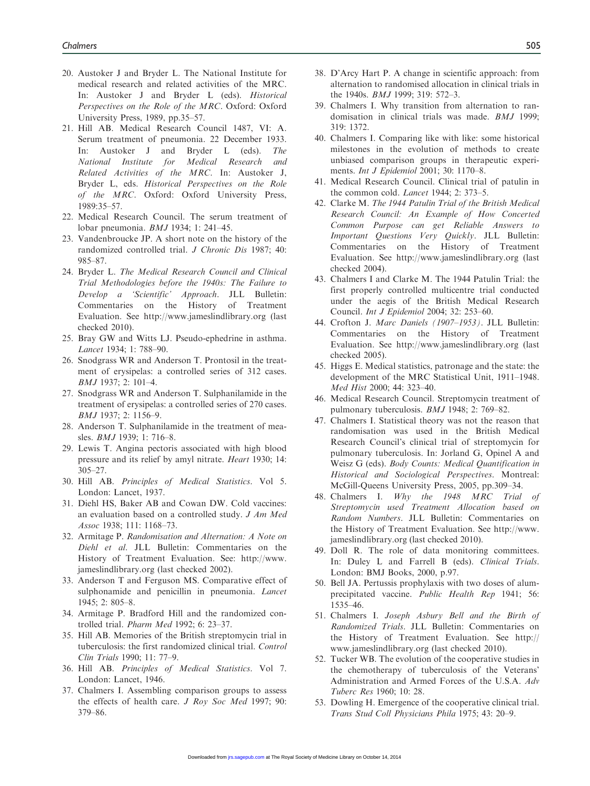- 20. Austoker J and Bryder L. The National Institute for medical research and related activities of the MRC. In: Austoker J and Bryder L (eds). Historical Perspectives on the Role of the MRC. Oxford: Oxford University Press, 1989, pp.35–57.
- 21. Hill AB. Medical Research Council 1487, VI: A. Serum treatment of pneumonia. 22 December 1933. In: Austoker J and Bryder L (eds). The National Institute for Medical Research and Related Activities of the MRC. In: Austoker J, Bryder L, eds. Historical Perspectives on the Role of the MRC. Oxford: Oxford University Press, 1989:35–57.
- 22. Medical Research Council. The serum treatment of lobar pneumonia. BMJ 1934; 1: 241–45.
- 23. Vandenbroucke JP. A short note on the history of the randomized controlled trial. J Chronic Dis 1987; 40: 985–87.
- 24. Bryder L. The Medical Research Council and Clinical Trial Methodologies before the 1940s: The Failure to Develop a 'Scientific' Approach. JLL Bulletin: Commentaries on the History of Treatment Evaluation. See http://www.jameslindlibrary.org (last checked 2010).
- 25. Bray GW and Witts LJ. Pseudo-ephedrine in asthma. Lancet 1934; 1: 788–90.
- 26. Snodgrass WR and Anderson T. Prontosil in the treatment of erysipelas: a controlled series of 312 cases. BMJ 1937; 2: 101–4.
- 27. Snodgrass WR and Anderson T. Sulphanilamide in the treatment of erysipelas: a controlled series of 270 cases. BMJ 1937; 2: 1156–9.
- 28. Anderson T. Sulphanilamide in the treatment of measles. BMJ 1939; 1: 716–8.
- 29. Lewis T. Angina pectoris associated with high blood pressure and its relief by amyl nitrate. Heart 1930; 14: 305–27.
- 30. Hill AB. Principles of Medical Statistics. Vol 5. London: Lancet, 1937.
- 31. Diehl HS, Baker AB and Cowan DW. Cold vaccines: an evaluation based on a controlled study. J Am Med Assoc 1938; 111: 1168–73.
- 32. Armitage P. Randomisation and Alternation: A Note on Diehl et al. JLL Bulletin: Commentaries on the History of Treatment Evaluation. See: http://www. jameslindlibrary.org (last checked 2002).
- 33. Anderson T and Ferguson MS. Comparative effect of sulphonamide and penicillin in pneumonia. Lancet 1945; 2: 805–8.
- 34. Armitage P. Bradford Hill and the randomized controlled trial. Pharm Med 1992; 6: 23–37.
- 35. Hill AB. Memories of the British streptomycin trial in tuberculosis: the first randomized clinical trial. Control Clin Trials 1990; 11: 77–9.
- 36. Hill AB. Principles of Medical Statistics. Vol 7. London: Lancet, 1946.
- 37. Chalmers I. Assembling comparison groups to assess the effects of health care. J Roy Soc Med 1997; 90: 379–86.
- 38. D'Arcy Hart P. A change in scientific approach: from alternation to randomised allocation in clinical trials in the 1940s. BMJ 1999; 319: 572–3.
- 39. Chalmers I. Why transition from alternation to randomisation in clinical trials was made. BMJ 1999; 319: 1372.
- 40. Chalmers I. Comparing like with like: some historical milestones in the evolution of methods to create unbiased comparison groups in therapeutic experiments. Int J Epidemiol 2001; 30: 1170–8.
- 41. Medical Research Council. Clinical trial of patulin in the common cold. Lancet 1944; 2: 373–5.
- 42. Clarke M. The 1944 Patulin Trial of the British Medical Research Council: An Example of How Concerted Common Purpose can get Reliable Answers to Important Questions Very Quickly. JLL Bulletin: Commentaries on the History of Treatment Evaluation. See http://www.jameslindlibrary.org (last checked 2004).
- 43. Chalmers I and Clarke M. The 1944 Patulin Trial: the first properly controlled multicentre trial conducted under the aegis of the British Medical Research Council. Int J Epidemiol 2004; 32: 253–60.
- 44. Crofton J. Marc Daniels (1907–1953). JLL Bulletin: Commentaries on the History of Treatment Evaluation. See http://www.jameslindlibrary.org (last checked 2005).
- 45. Higgs E. Medical statistics, patronage and the state: the development of the MRC Statistical Unit, 1911–1948. Med Hist 2000; 44: 323–40.
- 46. Medical Research Council. Streptomycin treatment of pulmonary tuberculosis. BMJ 1948; 2: 769–82.
- 47. Chalmers I. Statistical theory was not the reason that randomisation was used in the British Medical Research Council's clinical trial of streptomycin for pulmonary tuberculosis. In: Jorland G, Opinel A and Weisz G (eds). Body Counts: Medical Quantification in Historical and Sociological Perspectives. Montreal: McGill-Queens University Press, 2005, pp.309–34.
- 48. Chalmers I. Why the 1948 MRC Trial of Streptomycin used Treatment Allocation based on Random Numbers. JLL Bulletin: Commentaries on the History of Treatment Evaluation. See http://www. jameslindlibrary.org (last checked 2010).
- 49. Doll R. The role of data monitoring committees. In: Duley L and Farrell B (eds). Clinical Trials. London: BMJ Books, 2000, p.97.
- 50. Bell JA. Pertussis prophylaxis with two doses of alumprecipitated vaccine. Public Health Rep 1941; 56: 1535–46.
- 51. Chalmers I. Joseph Asbury Bell and the Birth of Randomized Trials. JLL Bulletin: Commentaries on the History of Treatment Evaluation. See http:// www.jameslindlibrary.org (last checked 2010).
- 52. Tucker WB. The evolution of the cooperative studies in the chemotherapy of tuberculosis of the Veterans' Administration and Armed Forces of the U.S.A. Adv Tuberc Res 1960; 10: 28.
- 53. Dowling H. Emergence of the cooperative clinical trial. Trans Stud Coll Physicians Phila 1975; 43: 20–9.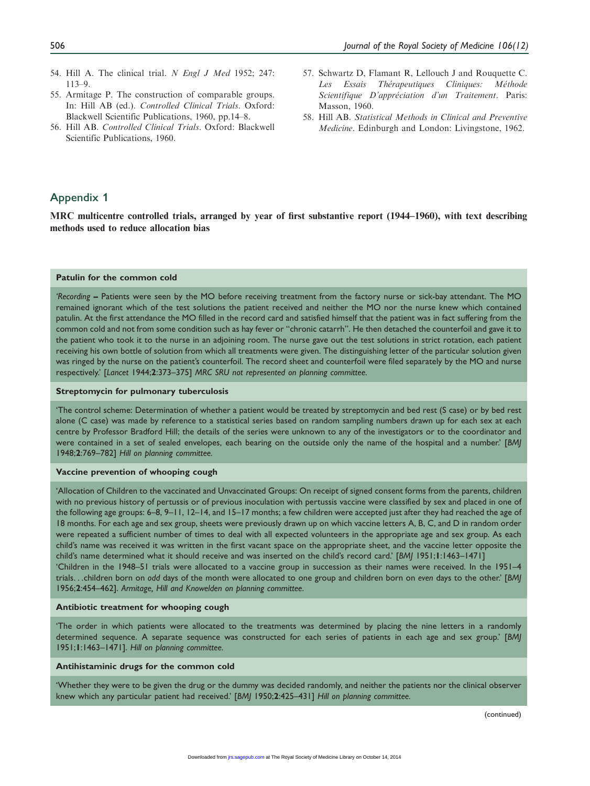- 54. Hill A. The clinical trial. N Engl J Med 1952; 247: 113–9.
- 55. Armitage P. The construction of comparable groups. In: Hill AB (ed.). Controlled Clinical Trials. Oxford: Blackwell Scientific Publications, 1960, pp.14–8.
- 56. Hill AB. Controlled Clinical Trials. Oxford: Blackwell Scientific Publications, 1960.
- 57. Schwartz D, Flamant R, Lellouch J and Rouquette C. Les Essais Thérapeutiques Cliniques: Méthode Scientifique D'appréciation d'un Traitement. Paris: Masson, 1960.
- 58. Hill AB. Statistical Methods in Clinical and Preventive Medicine. Edinburgh and London: Livingstone, 1962.

# Appendix 1

MRC multicentre controlled trials, arranged by year of first substantive report (1944–1960), with text describing methods used to reduce allocation bias

#### Patulin for the common cold

'Recording – Patients were seen by the MO before receiving treatment from the factory nurse or sick-bay attendant. The MO remained ignorant which of the test solutions the patient received and neither the MO nor the nurse knew which contained patulin. At the first attendance the MO filled in the record card and satisfied himself that the patient was in fact suffering from the common cold and not from some condition such as hay fever or ''chronic catarrh''. He then detached the counterfoil and gave it to the patient who took it to the nurse in an adjoining room. The nurse gave out the test solutions in strict rotation, each patient receiving his own bottle of solution from which all treatments were given. The distinguishing letter of the particular solution given was ringed by the nurse on the patient's counterfoil. The record sheet and counterfoil were filed separately by the MO and nurse respectively.' [Lancet 1944;2:373–375] MRC SRU not represented on planning committee.

#### Streptomycin for pulmonary tuberculosis

'The control scheme: Determination of whether a patient would be treated by streptomycin and bed rest (S case) or by bed rest alone (C case) was made by reference to a statistical series based on random sampling numbers drawn up for each sex at each centre by Professor Bradford Hill; the details of the series were unknown to any of the investigators or to the coordinator and were contained in a set of sealed envelopes, each bearing on the outside only the name of the hospital and a number.' [BMJ 1948;2:769–782] Hill on planning committee.

#### Vaccine prevention of whooping cough

'Allocation of Children to the vaccinated and Unvaccinated Groups: On receipt of signed consent forms from the parents, children with no previous history of pertussis or of previous inoculation with pertussis vaccine were classified by sex and placed in one of the following age groups: 6–8, 9–11, 12–14, and 15–17 months; a few children were accepted just after they had reached the age of 18 months. For each age and sex group, sheets were previously drawn up on which vaccine letters A, B, C, and D in random order were repeated a sufficient number of times to deal with all expected volunteers in the appropriate age and sex group. As each child's name was received it was written in the first vacant space on the appropriate sheet, and the vaccine letter opposite the child's name determined what it should receive and was inserted on the child's record card.' [BMJ 1951;1:1463–1471] 'Children in the 1948–51 trials were allocated to a vaccine group in succession as their names were received. In the 1951–4 trials...children born on odd days of the month were allocated to one group and children born on even days to the other.' [BMJ 1956;2:454–462]. Armitage, Hill and Knowelden on planning committee.

#### Antibiotic treatment for whooping cough

'The order in which patients were allocated to the treatments was determined by placing the nine letters in a randomly determined sequence. A separate sequence was constructed for each series of patients in each age and sex group.' [BMJ 1951;1:1463–1471]. Hill on planning committee.

#### Antihistaminic drugs for the common cold

'Whether they were to be given the drug or the dummy was decided randomly, and neither the patients nor the clinical observer knew which any particular patient had received.' [BMJ 1950;2:425-431] Hill on planning committee.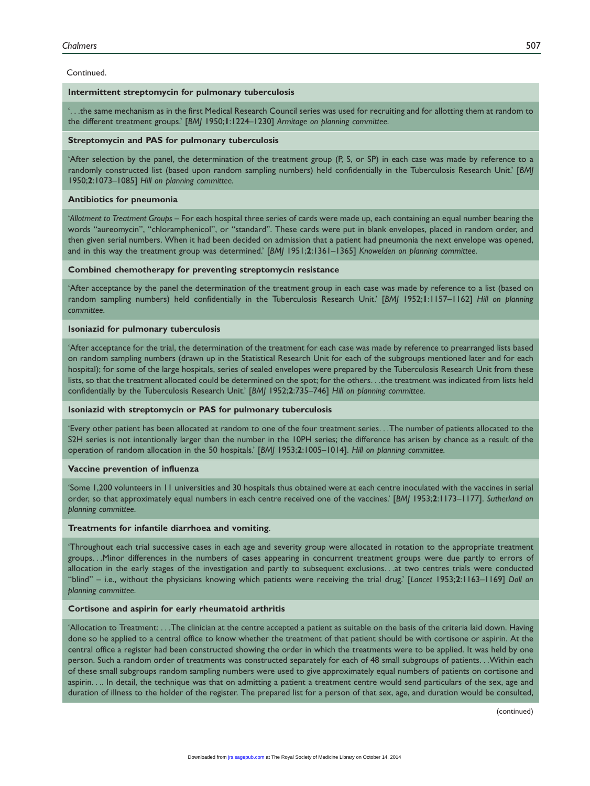#### **Continued**

#### Intermittent streptomycin for pulmonary tuberculosis

'. . .the same mechanism as in the first Medical Research Council series was used for recruiting and for allotting them at random to the different treatment groups.' [BMJ 1950;1:1224-1230] Armitage on planning committee.

#### Streptomycin and PAS for pulmonary tuberculosis

'After selection by the panel, the determination of the treatment group (P, S, or SP) in each case was made by reference to a randomly constructed list (based upon random sampling numbers) held confidentially in the Tuberculosis Research Unit.' [BMJ 1950;2:1073–1085] Hill on planning committee.

#### Antibiotics for pneumonia

'Allotment to Treatment Groups – For each hospital three series of cards were made up, each containing an equal number bearing the words ''aureomycin'', ''chloramphenicol'', or ''standard''. These cards were put in blank envelopes, placed in random order, and then given serial numbers. When it had been decided on admission that a patient had pneumonia the next envelope was opened, and in this way the treatment group was determined.' [BM] 1951;2:1361-1365] Knowelden on planning committee.

#### Combined chemotherapy for preventing streptomycin resistance

'After acceptance by the panel the determination of the treatment group in each case was made by reference to a list (based on random sampling numbers) held confidentially in the Tuberculosis Research Unit.' [BM] 1952;1:1157-1162] Hill on planning committee.

#### Isoniazid for pulmonary tuberculosis

'After acceptance for the trial, the determination of the treatment for each case was made by reference to prearranged lists based on random sampling numbers (drawn up in the Statistical Research Unit for each of the subgroups mentioned later and for each hospital); for some of the large hospitals, series of sealed envelopes were prepared by the Tuberculosis Research Unit from these lists, so that the treatment allocated could be determined on the spot; for the others...the treatment was indicated from lists held confidentially by the Tuberculosis Research Unit.' [BMJ 1952;2:735-746] Hill on planning committee.

#### Isoniazid with streptomycin or PAS for pulmonary tuberculosis

'Every other patient has been allocated at random to one of the four treatment series...The number of patients allocated to the S2H series is not intentionally larger than the number in the 10PH series; the difference has arisen by chance as a result of the operation of random allocation in the 50 hospitals.' [BMJ 1953;2:1005–1014]. Hill on planning committee.

#### Vaccine prevention of influenza

'Some 1,200 volunteers in 11 universities and 30 hospitals thus obtained were at each centre inoculated with the vaccines in serial order, so that approximately equal numbers in each centre received one of the vaccines.' [BMJ 1953;2:1173–1177]. Sutherland on planning committee.

#### Treatments for infantile diarrhoea and vomiting.

'Throughout each trial successive cases in each age and severity group were allocated in rotation to the appropriate treatment groups...Minor differences in the numbers of cases appearing in concurrent treatment groups were due partly to errors of allocation in the early stages of the investigation and partly to subsequent exclusions...at two centres trials were conducted ''blind'' – i.e., without the physicians knowing which patients were receiving the trial drug.' [Lancet 1953;2:1163–1169] Doll on planning committee.

#### Cortisone and aspirin for early rheumatoid arthritis

'Allocation to Treatment: ...The clinician at the centre accepted a patient as suitable on the basis of the criteria laid down. Having done so he applied to a central office to know whether the treatment of that patient should be with cortisone or aspirin. At the central office a register had been constructed showing the order in which the treatments were to be applied. It was held by one person. Such a random order of treatments was constructed separately for each of 48 small subgroups of patients...Within each of these small subgroups random sampling numbers were used to give approximately equal numbers of patients on cortisone and aspirin.... In detail, the technique was that on admitting a patient a treatment centre would send particulars of the sex, age and duration of illness to the holder of the register. The prepared list for a person of that sex, age, and duration would be consulted,

(continued)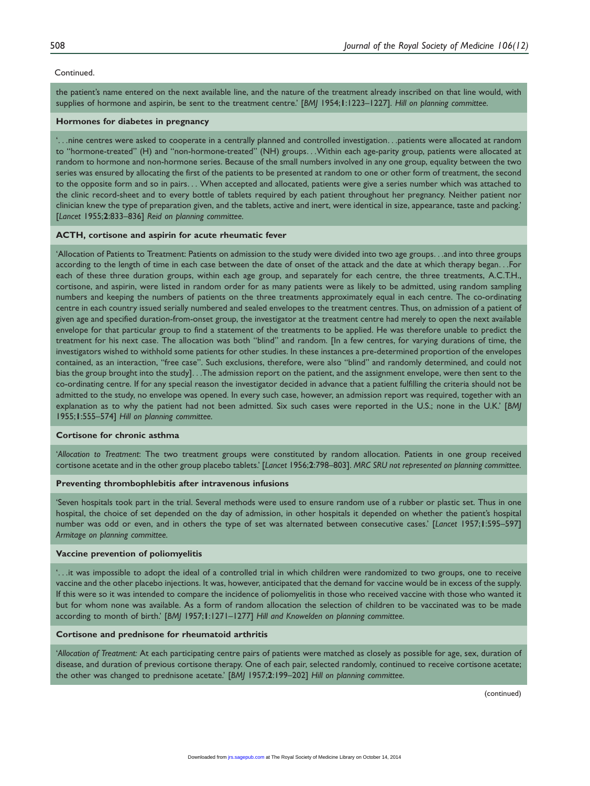#### **Continued.**

the patient's name entered on the next available line, and the nature of the treatment already inscribed on that line would, with supplies of hormone and aspirin, be sent to the treatment centre.' [BMJ 1954;1:1223-1227]. Hill on planning committee.

#### Hormones for diabetes in pregnancy

'...nine centres were asked to cooperate in a centrally planned and controlled investigation...patients were allocated at random to ''hormone-treated'' (H) and ''non-hormone-treated'' (NH) groups...Within each age-parity group, patients were allocated at random to hormone and non-hormone series. Because of the small numbers involved in any one group, equality between the two series was ensured by allocating the first of the patients to be presented at random to one or other form of treatment, the second to the opposite form and so in pairs... When accepted and allocated, patients were give a series number which was attached to the clinic record-sheet and to every bottle of tablets required by each patient throughout her pregnancy. Neither patient nor clinician knew the type of preparation given, and the tablets, active and inert, were identical in size, appearance, taste and packing.' [Lancet 1955;2:833-836] Reid on planning committee.

#### ACTH, cortisone and aspirin for acute rheumatic fever

'Allocation of Patients to Treatment: Patients on admission to the study were divided into two age groups...and into three groups according to the length of time in each case between the date of onset of the attack and the date at which therapy began...For each of these three duration groups, within each age group, and separately for each centre, the three treatments, A.C.T.H., cortisone, and aspirin, were listed in random order for as many patients were as likely to be admitted, using random sampling numbers and keeping the numbers of patients on the three treatments approximately equal in each centre. The co-ordinating centre in each country issued serially numbered and sealed envelopes to the treatment centres. Thus, on admission of a patient of given age and specified duration-from-onset group, the investigator at the treatment centre had merely to open the next available envelope for that particular group to find a statement of the treatments to be applied. He was therefore unable to predict the treatment for his next case. The allocation was both ''blind'' and random. [In a few centres, for varying durations of time, the investigators wished to withhold some patients for other studies. In these instances a pre-determined proportion of the envelopes contained, as an interaction, ''free case''. Such exclusions, therefore, were also ''blind'' and randomly determined, and could not bias the group brought into the study]...The admission report on the patient, and the assignment envelope, were then sent to the co-ordinating centre. If for any special reason the investigator decided in advance that a patient fulfilling the criteria should not be admitted to the study, no envelope was opened. In every such case, however, an admission report was required, together with an explanation as to why the patient had not been admitted. Six such cases were reported in the U.S.; none in the U.K.' [BMJ 1955;1:555–574] Hill on planning committee.

#### Cortisone for chronic asthma

'Allocation to Treatment: The two treatment groups were constituted by random allocation. Patients in one group received cortisone acetate and in the other group placebo tablets.' [Lancet 1956;2:798–803]. MRC SRU not represented on planning committee.

#### Preventing thrombophlebitis after intravenous infusions

'Seven hospitals took part in the trial. Several methods were used to ensure random use of a rubber or plastic set. Thus in one hospital, the choice of set depended on the day of admission, in other hospitals it depended on whether the patient's hospital number was odd or even, and in others the type of set was alternated between consecutive cases.' [Lancet 1957;1:595–597] Armitage on planning committee.

#### Vaccine prevention of poliomyelitis

'...it was impossible to adopt the ideal of a controlled trial in which children were randomized to two groups, one to receive vaccine and the other placebo injections. It was, however, anticipated that the demand for vaccine would be in excess of the supply. If this were so it was intended to compare the incidence of poliomyelitis in those who received vaccine with those who wanted it but for whom none was available. As a form of random allocation the selection of children to be vaccinated was to be made according to month of birth.' [BMJ 1957;1:1271–1277] Hill and Knowelden on planning committee.

#### Cortisone and prednisone for rheumatoid arthritis

'Allocation of Treatment: At each participating centre pairs of patients were matched as closely as possible for age, sex, duration of disease, and duration of previous cortisone therapy. One of each pair, selected randomly, continued to receive cortisone acetate; the other was changed to prednisone acetate.' [BMJ 1957;2:199-202] Hill on planning committee.

(continued)